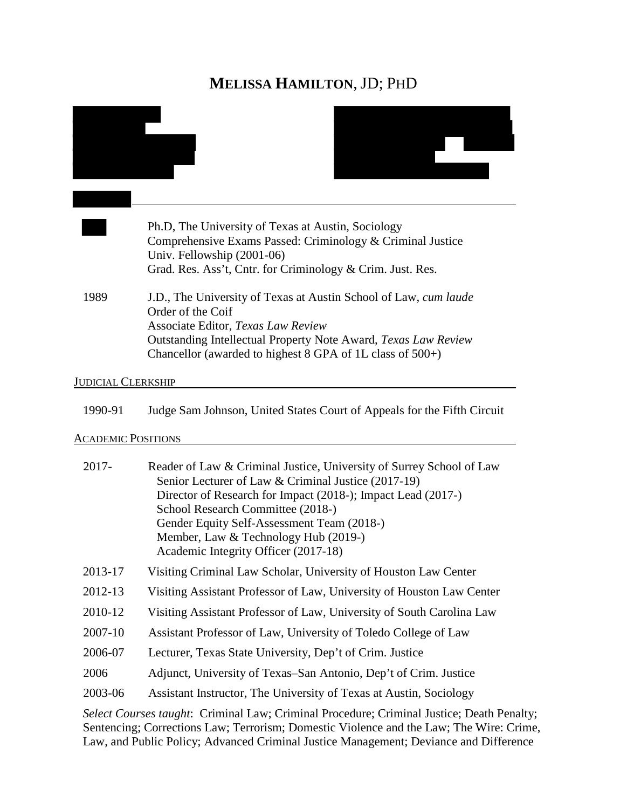# **MELISSA HAMILTON**, JD; PHD

|                           | Ph.D, The University of Texas at Austin, Sociology<br>Comprehensive Exams Passed: Criminology & Criminal Justice<br>Univ. Fellowship (2001-06)<br>Grad. Res. Ass't, Cntr. for Criminology & Crim. Just. Res.                                                                                                                                                   |
|---------------------------|----------------------------------------------------------------------------------------------------------------------------------------------------------------------------------------------------------------------------------------------------------------------------------------------------------------------------------------------------------------|
| 1989                      | J.D., The University of Texas at Austin School of Law, cum laude<br>Order of the Coif<br>Associate Editor, Texas Law Review<br>Outstanding Intellectual Property Note Award, Texas Law Review<br>Chancellor (awarded to highest $8$ GPA of 1L class of $500+$ )                                                                                                |
| <b>JUDICIAL CLERKSHIP</b> |                                                                                                                                                                                                                                                                                                                                                                |
| 1990-91                   | Judge Sam Johnson, United States Court of Appeals for the Fifth Circuit                                                                                                                                                                                                                                                                                        |
| <b>ACADEMIC POSITIONS</b> |                                                                                                                                                                                                                                                                                                                                                                |
| 2017-                     | Reader of Law & Criminal Justice, University of Surrey School of Law<br>Senior Lecturer of Law & Criminal Justice (2017-19)<br>Director of Research for Impact (2018-); Impact Lead (2017-)<br>School Research Committee (2018-)<br>Gender Equity Self-Assessment Team (2018-)<br>Member, Law & Technology Hub (2019-)<br>Academic Integrity Officer (2017-18) |
| 2013-17                   | Visiting Criminal Law Scholar, University of Houston Law Center                                                                                                                                                                                                                                                                                                |
| 2012-13                   | Visiting Assistant Professor of Law, University of Houston Law Center                                                                                                                                                                                                                                                                                          |
| 2010-12                   | Visiting Assistant Professor of Law, University of South Carolina Law                                                                                                                                                                                                                                                                                          |
| 2007-10                   | Assistant Professor of Law, University of Toledo College of Law                                                                                                                                                                                                                                                                                                |
| 2006-07                   | Lecturer, Texas State University, Dep't of Crim. Justice                                                                                                                                                                                                                                                                                                       |
| 2006                      | Adjunct, University of Texas–San Antonio, Dep't of Crim. Justice                                                                                                                                                                                                                                                                                               |
| 2003-06                   | Assistant Instructor, The University of Texas at Austin, Sociology                                                                                                                                                                                                                                                                                             |

*Select Courses taught*: Criminal Law; Criminal Procedure; Criminal Justice; Death Penalty; Sentencing; Corrections Law; Terrorism; Domestic Violence and the Law; The Wire: Crime, Law, and Public Policy; Advanced Criminal Justice Management; Deviance and Difference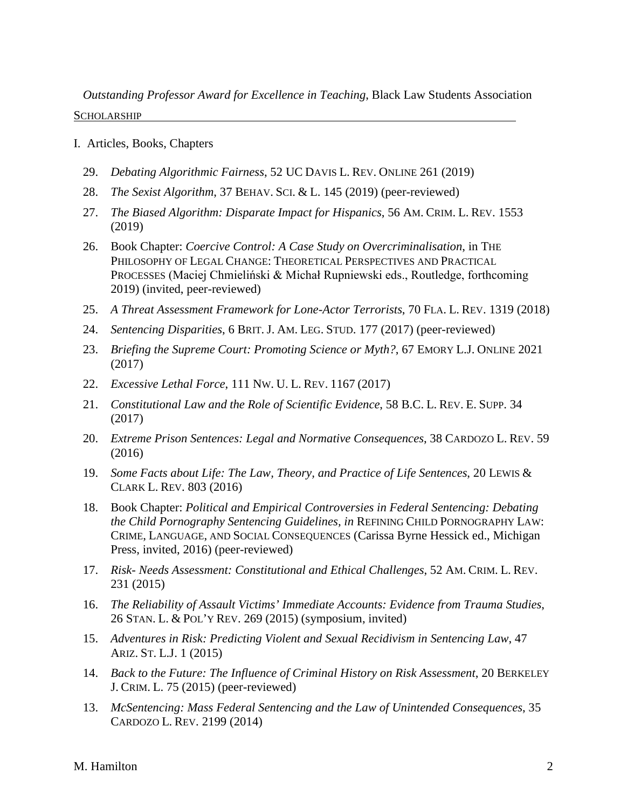*Outstanding Professor Award for Excellence in Teaching*, Black Law Students Association SCHOLARSHIP

- I. Articles, Books, Chapters
	- 29. *Debating Algorithmic Fairness*, 52 UC DAVIS L. REV. ONLINE 261 (2019)
	- 28. *The Sexist Algorithm*, 37 BEHAV. SCI. & L. 145 (2019) (peer-reviewed)
	- 27. *The Biased Algorithm: Disparate Impact for Hispanics*, 56 AM. CRIM. L. REV. 1553 (2019)
	- 26. Book Chapter: *Coercive Control: A Case Study on Overcriminalisation*, in THE PHILOSOPHY OF LEGAL CHANGE: THEORETICAL PERSPECTIVES AND PRACTICAL PROCESSES (Maciej Chmieliński & Michał Rupniewski eds., Routledge, forthcoming 2019) (invited, peer-reviewed)
	- 25. *A Threat Assessment Framework for Lone-Actor Terrorists*, 70 FLA. L. REV. 1319 (2018)
	- 24. *Sentencing Disparities*, 6 BRIT. J. AM. LEG. STUD. 177 (2017) (peer-reviewed)
	- 23. *Briefing the Supreme Court: Promoting Science or Myth?*, 67 EMORY L.J. ONLINE 2021 (2017)
	- 22. *Excessive Lethal Force*, 111 NW. U. L. REV. 1167 (2017)
	- 21. *Constitutional Law and the Role of Scientific Evidence*, 58 B.C. L. REV. E. SUPP. 34 (2017)
	- 20. *Extreme Prison Sentences: Legal and Normative Consequences*, 38 CARDOZO L. REV. 59 (2016)
	- 19. *Some Facts about Life: The Law, Theory, and Practice of Life Sentences*, 20 LEWIS & CLARK L. REV. 803 (2016)
	- 18. Book Chapter: *Political and Empirical Controversies in Federal Sentencing: Debating the Child Pornography Sentencing Guidelines, in* REFINING CHILD PORNOGRAPHY LAW: CRIME, LANGUAGE, AND SOCIAL CONSEQUENCES (Carissa Byrne Hessick ed., Michigan Press, invited, 2016) (peer-reviewed)
	- 17. *Risk- Needs Assessment: Constitutional and Ethical Challenges*, 52 AM. CRIM. L. REV. 231 (2015)
	- 16. *The Reliability of Assault Victims' Immediate Accounts: Evidence from Trauma Studies*, 26 STAN. L. & POL'Y REV. 269 (2015) (symposium, invited)
	- 15. *Adventures in Risk: Predicting Violent and Sexual Recidivism in Sentencing Law*, 47 ARIZ. ST. L.J. 1 (2015)
	- 14. *Back to the Future: The Influence of Criminal History on Risk Assessment*, 20 BERKELEY J. CRIM. L. 75 (2015) (peer-reviewed)
	- 13. *McSentencing: Mass Federal Sentencing and the Law of Unintended Consequences*, 35 CARDOZO L. REV. 2199 (2014)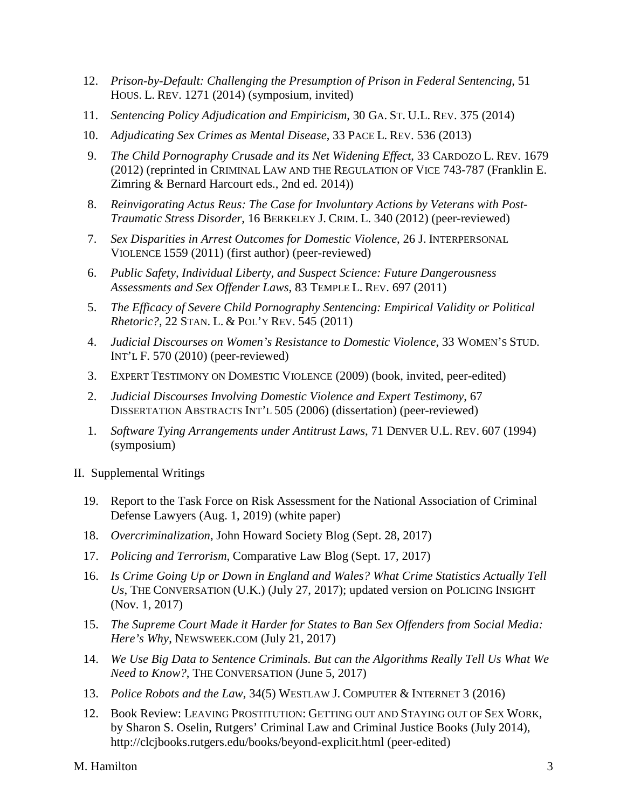- 12. *Prison-by-Default: Challenging the Presumption of Prison in Federal Sentencing*, 51 HOUS. L. REV. 1271 (2014) (symposium, invited)
- 11. *Sentencing Policy Adjudication and Empiricism*, 30 GA. ST. U.L. REV. 375 (2014)
- 10. *Adjudicating Sex Crimes as Mental Disease*, 33 PACE L. REV. 536 (2013)
- 9. *The Child Pornography Crusade and its Net Widening Effect*, 33 CARDOZO L. REV. 1679 (2012) (reprinted in CRIMINAL LAW AND THE REGULATION OF VICE 743-787 (Franklin E. Zimring & Bernard Harcourt eds., 2nd ed. 2014))
- 8. *Reinvigorating Actus Reus: The Case for Involuntary Actions by Veterans with Post-Traumatic Stress Disorder*, 16 BERKELEY J. CRIM. L. 340 (2012) (peer-reviewed)
- 7. *Sex Disparities in Arrest Outcomes for Domestic Violence*, 26 J. INTERPERSONAL VIOLENCE 1559 (2011) (first author) (peer-reviewed)
- 6. *Public Safety, Individual Liberty, and Suspect Science: Future Dangerousness Assessments and Sex Offender Laws*, 83 TEMPLE L. REV. 697 (2011)
- 5. *The Efficacy of Severe Child Pornography Sentencing: Empirical Validity or Political Rhetoric?*, 22 STAN. L. & POL'Y REV. 545 (2011)
- 4. *Judicial Discourses on Women's Resistance to Domestic Violence*, 33 WOMEN'S STUD. INT'L F. 570 (2010) (peer-reviewed)
- 3. EXPERT TESTIMONY ON DOMESTIC VIOLENCE (2009) (book, invited, peer-edited)
- 2. *Judicial Discourses Involving Domestic Violence and Expert Testimony*, 67 DISSERTATION ABSTRACTS INT'L 505 (2006) (dissertation) (peer-reviewed)
- 1. *Software Tying Arrangements under Antitrust Laws*, 71 DENVER U.L. REV. 607 (1994) (symposium)
- II. Supplemental Writings
	- 19. Report to the Task Force on Risk Assessment for the National Association of Criminal Defense Lawyers (Aug. 1, 2019) (white paper)
	- 18. *Overcriminalization*, John Howard Society Blog (Sept. 28, 2017)
	- 17. *Policing and Terrorism*, Comparative Law Blog (Sept. 17, 2017)
	- 16. *Is Crime Going Up or Down in England and Wales? What Crime Statistics Actually Tell Us*, THE CONVERSATION (U.K.) (July 27, 2017); updated version on POLICING INSIGHT (Nov. 1, 2017)
	- 15. *The Supreme Court Made it Harder for States to Ban Sex Offenders from Social Media: Here's Why*, NEWSWEEK.COM (July 21, 2017)
	- 14. *We Use Big Data to Sentence Criminals. But can the Algorithms Really Tell Us What We Need to Know?*, THE CONVERSATION (June 5, 2017)
	- 13. *Police Robots and the Law*, 34(5) WESTLAW J. COMPUTER & INTERNET 3 (2016)
	- 12. Book Review: LEAVING PROSTITUTION: GETTING OUT AND STAYING OUT OF SEX WORK, by Sharon S. Oselin, Rutgers' Criminal Law and Criminal Justice Books (July 2014), http://clcjbooks.rutgers.edu/books/beyond-explicit.html (peer-edited)

M. Hamilton 3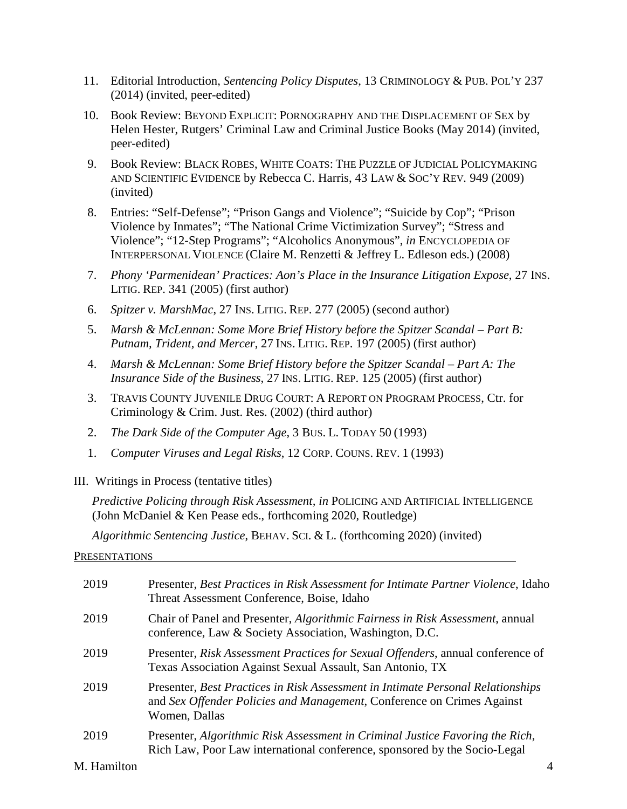- 11. Editorial Introduction, *Sentencing Policy Disputes*, 13 CRIMINOLOGY & PUB. POL'Y 237 (2014) (invited, peer-edited)
- 10. Book Review: BEYOND EXPLICIT: PORNOGRAPHY AND THE DISPLACEMENT OF SEX by Helen Hester, Rutgers' Criminal Law and Criminal Justice Books (May 2014) (invited, peer-edited)
- 9. Book Review: BLACK ROBES, WHITE COATS: THE PUZZLE OF JUDICIAL POLICYMAKING AND SCIENTIFIC EVIDENCE by Rebecca C. Harris, 43 LAW & SOC'Y REV*.* 949 (2009) (invited)
- 8. Entries: "Self-Defense"; "Prison Gangs and Violence"; "Suicide by Cop"; "Prison Violence by Inmates"; "The National Crime Victimization Survey"; "Stress and Violence"; "12-Step Programs"; "Alcoholics Anonymous", *in* ENCYCLOPEDIA OF INTERPERSONAL VIOLENCE (Claire M. Renzetti & Jeffrey L. Edleson eds.) (2008)
- 7. *Phony 'Parmenidean' Practices: Aon's Place in the Insurance Litigation Expose*, 27 INS. LITIG. REP. 341 (2005) (first author)
- 6. *Spitzer v. MarshMac*, 27 INS. LITIG. REP. 277 (2005) (second author)
- 5. *Marsh & McLennan: Some More Brief History before the Spitzer Scandal Part B: Putnam, Trident, and Mercer*, 27 INS. LITIG. REP. 197 (2005) (first author)
- 4. *Marsh & McLennan: Some Brief History before the Spitzer Scandal Part A: The Insurance Side of the Business*, 27 INS. LITIG. REP. 125 (2005) (first author)
- 3. TRAVIS COUNTY JUVENILE DRUG COURT: A REPORT ON PROGRAM PROCESS, Ctr. for Criminology & Crim. Just. Res. (2002) (third author)
- 2. *The Dark Side of the Computer Age*, 3 BUS. L. TODAY 50 (1993)
- 1. *Computer Viruses and Legal Risks*, 12 CORP. COUNS. REV. 1 (1993)
- III. Writings in Process (tentative titles)

*Predictive Policing through Risk Assessment, in* POLICING AND ARTIFICIAL INTELLIGENCE (John McDaniel & Ken Pease eds., forthcoming 2020, Routledge)

*Algorithmic Sentencing Justice*, BEHAV. SCI. & L. (forthcoming 2020) (invited)

PRESENTATIONS

| 2019 | Presenter, Best Practices in Risk Assessment for Intimate Partner Violence, Idaho<br>Threat Assessment Conference, Boise, Idaho                                            |
|------|----------------------------------------------------------------------------------------------------------------------------------------------------------------------------|
| 2019 | Chair of Panel and Presenter, Algorithmic Fairness in Risk Assessment, annual<br>conference, Law & Society Association, Washington, D.C.                                   |
| 2019 | Presenter, Risk Assessment Practices for Sexual Offenders, annual conference of<br>Texas Association Against Sexual Assault, San Antonio, TX                               |
| 2019 | Presenter, Best Practices in Risk Assessment in Intimate Personal Relationships<br>and Sex Offender Policies and Management, Conference on Crimes Against<br>Women, Dallas |
| 2019 | Presenter, Algorithmic Risk Assessment in Criminal Justice Favoring the Rich,<br>Rich Law, Poor Law international conference, sponsored by the Socio-Legal                 |

# M. Hamilton 4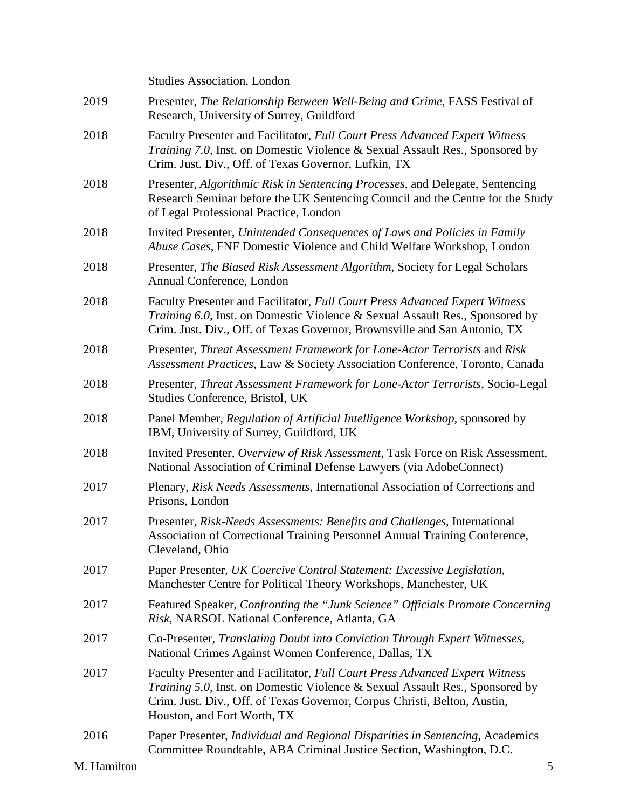|             | <b>Studies Association, London</b>                                                                                                                                                                                                                                              |
|-------------|---------------------------------------------------------------------------------------------------------------------------------------------------------------------------------------------------------------------------------------------------------------------------------|
| 2019        | Presenter, The Relationship Between Well-Being and Crime, FASS Festival of<br>Research, University of Surrey, Guildford                                                                                                                                                         |
| 2018        | Faculty Presenter and Facilitator, Full Court Press Advanced Expert Witness<br><i>Training 7.0</i> , Inst. on Domestic Violence & Sexual Assault Res., Sponsored by<br>Crim. Just. Div., Off. of Texas Governor, Lufkin, TX                                                     |
| 2018        | Presenter, Algorithmic Risk in Sentencing Processes, and Delegate, Sentencing<br>Research Seminar before the UK Sentencing Council and the Centre for the Study<br>of Legal Professional Practice, London                                                                       |
| 2018        | Invited Presenter, Unintended Consequences of Laws and Policies in Family<br>Abuse Cases, FNF Domestic Violence and Child Welfare Workshop, London                                                                                                                              |
| 2018        | Presenter, The Biased Risk Assessment Algorithm, Society for Legal Scholars<br>Annual Conference, London                                                                                                                                                                        |
| 2018        | Faculty Presenter and Facilitator, Full Court Press Advanced Expert Witness<br><i>Training 6.0</i> , Inst. on Domestic Violence & Sexual Assault Res., Sponsored by<br>Crim. Just. Div., Off. of Texas Governor, Brownsville and San Antonio, TX                                |
| 2018        | Presenter, Threat Assessment Framework for Lone-Actor Terrorists and Risk<br>Assessment Practices, Law & Society Association Conference, Toronto, Canada                                                                                                                        |
| 2018        | Presenter, Threat Assessment Framework for Lone-Actor Terrorists, Socio-Legal<br>Studies Conference, Bristol, UK                                                                                                                                                                |
| 2018        | Panel Member, Regulation of Artificial Intelligence Workshop, sponsored by<br>IBM, University of Surrey, Guildford, UK                                                                                                                                                          |
| 2018        | Invited Presenter, Overview of Risk Assessment, Task Force on Risk Assessment,<br>National Association of Criminal Defense Lawyers (via AdobeConnect)                                                                                                                           |
| 2017        | Plenary, Risk Needs Assessments, International Association of Corrections and<br>Prisons, London                                                                                                                                                                                |
| 2017        | Presenter, Risk-Needs Assessments: Benefits and Challenges, International<br>Association of Correctional Training Personnel Annual Training Conference,<br>Cleveland, Ohio                                                                                                      |
| 2017        | Paper Presenter, UK Coercive Control Statement: Excessive Legislation,<br>Manchester Centre for Political Theory Workshops, Manchester, UK                                                                                                                                      |
| 2017        | Featured Speaker, Confronting the "Junk Science" Officials Promote Concerning<br>Risk, NARSOL National Conference, Atlanta, GA                                                                                                                                                  |
| 2017        | Co-Presenter, Translating Doubt into Conviction Through Expert Witnesses,<br>National Crimes Against Women Conference, Dallas, TX                                                                                                                                               |
| 2017        | Faculty Presenter and Facilitator, Full Court Press Advanced Expert Witness<br><i>Training 5.0</i> , Inst. on Domestic Violence & Sexual Assault Res., Sponsored by<br>Crim. Just. Div., Off. of Texas Governor, Corpus Christi, Belton, Austin,<br>Houston, and Fort Worth, TX |
| 2016        | Paper Presenter, Individual and Regional Disparities in Sentencing, Academics<br>Committee Roundtable, ABA Criminal Justice Section, Washington, D.C.                                                                                                                           |
| M. Hamilton | 5                                                                                                                                                                                                                                                                               |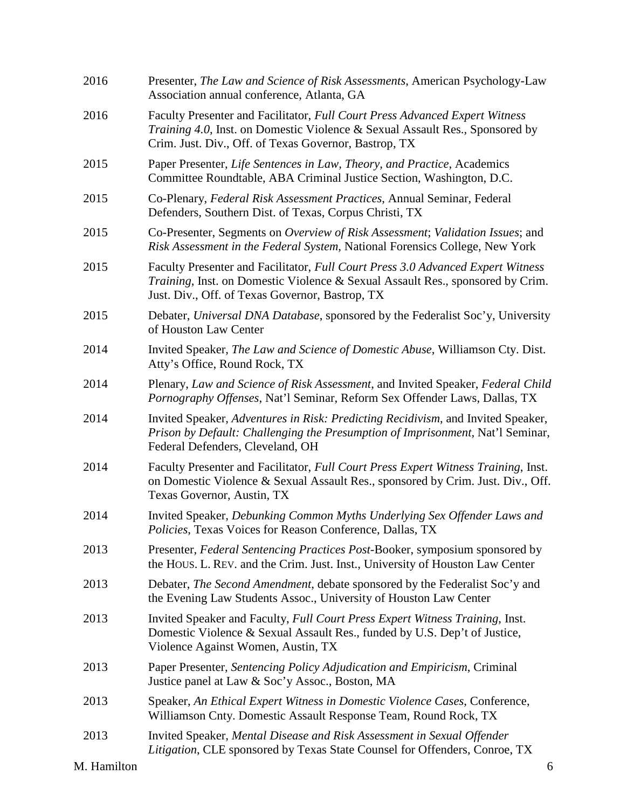| 2016        | Presenter, The Law and Science of Risk Assessments, American Psychology-Law<br>Association annual conference, Atlanta, GA                                                                                            |
|-------------|----------------------------------------------------------------------------------------------------------------------------------------------------------------------------------------------------------------------|
| 2016        | Faculty Presenter and Facilitator, Full Court Press Advanced Expert Witness<br>Training 4.0, Inst. on Domestic Violence & Sexual Assault Res., Sponsored by<br>Crim. Just. Div., Off. of Texas Governor, Bastrop, TX |
| 2015        | Paper Presenter, Life Sentences in Law, Theory, and Practice, Academics<br>Committee Roundtable, ABA Criminal Justice Section, Washington, D.C.                                                                      |
| 2015        | Co-Plenary, Federal Risk Assessment Practices, Annual Seminar, Federal<br>Defenders, Southern Dist. of Texas, Corpus Christi, TX                                                                                     |
| 2015        | Co-Presenter, Segments on Overview of Risk Assessment; Validation Issues; and<br>Risk Assessment in the Federal System, National Forensics College, New York                                                         |
| 2015        | Faculty Presenter and Facilitator, Full Court Press 3.0 Advanced Expert Witness<br>Training, Inst. on Domestic Violence & Sexual Assault Res., sponsored by Crim.<br>Just. Div., Off. of Texas Governor, Bastrop, TX |
| 2015        | Debater, Universal DNA Database, sponsored by the Federalist Soc'y, University<br>of Houston Law Center                                                                                                              |
| 2014        | Invited Speaker, The Law and Science of Domestic Abuse, Williamson Cty. Dist.<br>Atty's Office, Round Rock, TX                                                                                                       |
| 2014        | Plenary, Law and Science of Risk Assessment, and Invited Speaker, Federal Child<br>Pornography Offenses, Nat'l Seminar, Reform Sex Offender Laws, Dallas, TX                                                         |
| 2014        | Invited Speaker, Adventures in Risk: Predicting Recidivism, and Invited Speaker,<br>Prison by Default: Challenging the Presumption of Imprisonment, Nat'l Seminar,<br>Federal Defenders, Cleveland, OH               |
| 2014        | Faculty Presenter and Facilitator, Full Court Press Expert Witness Training, Inst.<br>on Domestic Violence & Sexual Assault Res., sponsored by Crim. Just. Div., Off.<br>Texas Governor, Austin, TX                  |
| 2014        | Invited Speaker, Debunking Common Myths Underlying Sex Offender Laws and<br>Policies, Texas Voices for Reason Conference, Dallas, TX                                                                                 |
| 2013        | Presenter, Federal Sentencing Practices Post-Booker, symposium sponsored by<br>the HOUS. L. REV. and the Crim. Just. Inst., University of Houston Law Center                                                         |
| 2013        | Debater, The Second Amendment, debate sponsored by the Federalist Soc'y and<br>the Evening Law Students Assoc., University of Houston Law Center                                                                     |
| 2013        | Invited Speaker and Faculty, Full Court Press Expert Witness Training, Inst.<br>Domestic Violence & Sexual Assault Res., funded by U.S. Dep't of Justice,<br>Violence Against Women, Austin, TX                      |
| 2013        | Paper Presenter, Sentencing Policy Adjudication and Empiricism, Criminal<br>Justice panel at Law & Soc'y Assoc., Boston, MA                                                                                          |
| 2013        | Speaker, An Ethical Expert Witness in Domestic Violence Cases, Conference,<br>Williamson Cnty. Domestic Assault Response Team, Round Rock, TX                                                                        |
| 2013        | Invited Speaker, Mental Disease and Risk Assessment in Sexual Offender<br>Litigation, CLE sponsored by Texas State Counsel for Offenders, Conroe, TX                                                                 |
| M. Hamilton | 6                                                                                                                                                                                                                    |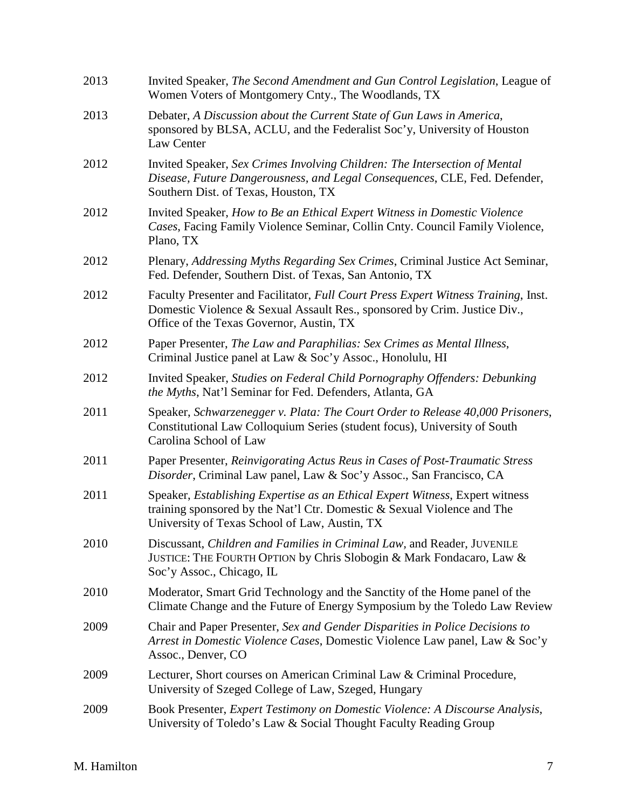| 2013 | Invited Speaker, The Second Amendment and Gun Control Legislation, League of<br>Women Voters of Montgomery Cnty., The Woodlands, TX                                                                         |
|------|-------------------------------------------------------------------------------------------------------------------------------------------------------------------------------------------------------------|
| 2013 | Debater, A Discussion about the Current State of Gun Laws in America,<br>sponsored by BLSA, ACLU, and the Federalist Soc'y, University of Houston<br>Law Center                                             |
| 2012 | Invited Speaker, Sex Crimes Involving Children: The Intersection of Mental<br>Disease, Future Dangerousness, and Legal Consequences, CLE, Fed. Defender,<br>Southern Dist. of Texas, Houston, TX            |
| 2012 | Invited Speaker, How to Be an Ethical Expert Witness in Domestic Violence<br>Cases, Facing Family Violence Seminar, Collin Cnty. Council Family Violence,<br>Plano, TX                                      |
| 2012 | Plenary, Addressing Myths Regarding Sex Crimes, Criminal Justice Act Seminar,<br>Fed. Defender, Southern Dist. of Texas, San Antonio, TX                                                                    |
| 2012 | Faculty Presenter and Facilitator, Full Court Press Expert Witness Training, Inst.<br>Domestic Violence & Sexual Assault Res., sponsored by Crim. Justice Div.,<br>Office of the Texas Governor, Austin, TX |
| 2012 | Paper Presenter, The Law and Paraphilias: Sex Crimes as Mental Illness,<br>Criminal Justice panel at Law & Soc'y Assoc., Honolulu, HI                                                                       |
| 2012 | Invited Speaker, Studies on Federal Child Pornography Offenders: Debunking<br>the Myths, Nat'l Seminar for Fed. Defenders, Atlanta, GA                                                                      |
| 2011 | Speaker, Schwarzenegger v. Plata: The Court Order to Release 40,000 Prisoners,<br>Constitutional Law Colloquium Series (student focus), University of South<br>Carolina School of Law                       |
| 2011 | Paper Presenter, Reinvigorating Actus Reus in Cases of Post-Traumatic Stress<br>Disorder, Criminal Law panel, Law & Soc'y Assoc., San Francisco, CA                                                         |
| 2011 | Speaker, Establishing Expertise as an Ethical Expert Witness, Expert witness<br>training sponsored by the Nat'l Ctr. Domestic & Sexual Violence and The<br>University of Texas School of Law, Austin, TX    |
| 2010 | Discussant, Children and Families in Criminal Law, and Reader, JUVENILE<br>JUSTICE: THE FOURTH OPTION by Chris Slobogin & Mark Fondacaro, Law &<br>Soc'y Assoc., Chicago, IL                                |
| 2010 | Moderator, Smart Grid Technology and the Sanctity of the Home panel of the<br>Climate Change and the Future of Energy Symposium by the Toledo Law Review                                                    |
| 2009 | Chair and Paper Presenter, Sex and Gender Disparities in Police Decisions to<br>Arrest in Domestic Violence Cases, Domestic Violence Law panel, Law & Soc'y<br>Assoc., Denver, CO                           |
| 2009 | Lecturer, Short courses on American Criminal Law & Criminal Procedure,<br>University of Szeged College of Law, Szeged, Hungary                                                                              |
| 2009 | Book Presenter, Expert Testimony on Domestic Violence: A Discourse Analysis,<br>University of Toledo's Law & Social Thought Faculty Reading Group                                                           |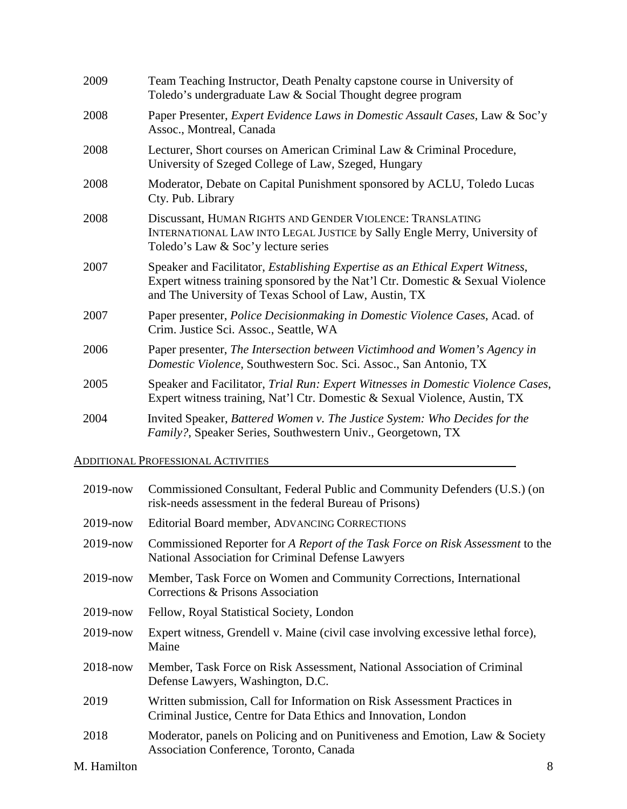| 2009 | Team Teaching Instructor, Death Penalty capstone course in University of<br>Toledo's undergraduate Law & Social Thought degree program                                                                                           |
|------|----------------------------------------------------------------------------------------------------------------------------------------------------------------------------------------------------------------------------------|
| 2008 | Paper Presenter, Expert Evidence Laws in Domestic Assault Cases, Law & Soc'y<br>Assoc., Montreal, Canada                                                                                                                         |
| 2008 | Lecturer, Short courses on American Criminal Law & Criminal Procedure,<br>University of Szeged College of Law, Szeged, Hungary                                                                                                   |
| 2008 | Moderator, Debate on Capital Punishment sponsored by ACLU, Toledo Lucas<br>Cty. Pub. Library                                                                                                                                     |
| 2008 | Discussant, HUMAN RIGHTS AND GENDER VIOLENCE: TRANSLATING<br>INTERNATIONAL LAW INTO LEGAL JUSTICE by Sally Engle Merry, University of<br>Toledo's Law & Soc'y lecture series                                                     |
| 2007 | Speaker and Facilitator, <i>Establishing Expertise as an Ethical Expert Witness</i> ,<br>Expert witness training sponsored by the Nat'l Ctr. Domestic & Sexual Violence<br>and The University of Texas School of Law, Austin, TX |
| 2007 | Paper presenter, Police Decisionmaking in Domestic Violence Cases, Acad. of<br>Crim. Justice Sci. Assoc., Seattle, WA                                                                                                            |
| 2006 | Paper presenter, The Intersection between Victimhood and Women's Agency in<br>Domestic Violence, Southwestern Soc. Sci. Assoc., San Antonio, TX                                                                                  |
| 2005 | Speaker and Facilitator, Trial Run: Expert Witnesses in Domestic Violence Cases,<br>Expert witness training, Nat'l Ctr. Domestic & Sexual Violence, Austin, TX                                                                   |
| 2004 | Invited Speaker, Battered Women v. The Justice System: Who Decides for the<br>Family?, Speaker Series, Southwestern Univ., Georgetown, TX                                                                                        |

# ADDITIONAL PROFESSIONAL ACTIVITIES

| $2019 - now$ | Commissioned Consultant, Federal Public and Community Defenders (U.S.) (on<br>risk-needs assessment in the federal Bureau of Prisons)       |   |
|--------------|---------------------------------------------------------------------------------------------------------------------------------------------|---|
| $2019 - now$ | Editorial Board member, ADVANCING CORRECTIONS                                                                                               |   |
| $2019 - now$ | Commissioned Reporter for A Report of the Task Force on Risk Assessment to the<br>National Association for Criminal Defense Lawyers         |   |
| $2019$ -now  | Member, Task Force on Women and Community Corrections, International<br>Corrections & Prisons Association                                   |   |
| $2019 - now$ | Fellow, Royal Statistical Society, London                                                                                                   |   |
| $2019$ -now  | Expert witness, Grendell v. Maine (civil case involving excessive lethal force),<br>Maine                                                   |   |
| $2018 - now$ | Member, Task Force on Risk Assessment, National Association of Criminal<br>Defense Lawyers, Washington, D.C.                                |   |
| 2019         | Written submission, Call for Information on Risk Assessment Practices in<br>Criminal Justice, Centre for Data Ethics and Innovation, London |   |
| 2018         | Moderator, panels on Policing and on Punitiveness and Emotion, Law & Society<br>Association Conference, Toronto, Canada                     |   |
| M. Hamilton  |                                                                                                                                             | 8 |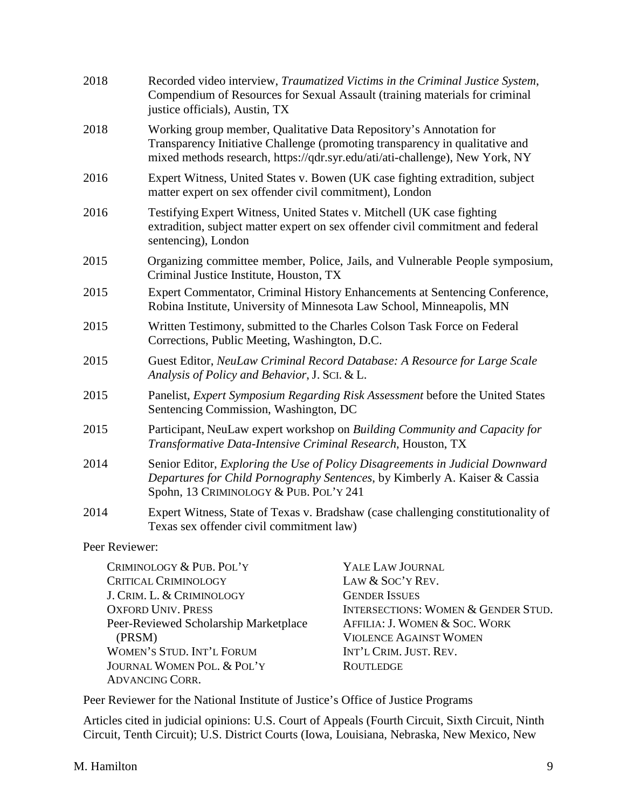| 2018                                                                                                                                                                 | Recorded video interview, Traumatized Victims in the Criminal Justice System,<br>Compendium of Resources for Sexual Assault (training materials for criminal<br>justice officials), Austin, TX        |                                                                                                                                                                                  |
|----------------------------------------------------------------------------------------------------------------------------------------------------------------------|-------------------------------------------------------------------------------------------------------------------------------------------------------------------------------------------------------|----------------------------------------------------------------------------------------------------------------------------------------------------------------------------------|
| 2018                                                                                                                                                                 | Working group member, Qualitative Data Repository's Annotation for                                                                                                                                    | Transparency Initiative Challenge (promoting transparency in qualitative and<br>mixed methods research, https://qdr.syr.edu/ati/ati-challenge), New York, NY                     |
| 2016                                                                                                                                                                 | matter expert on sex offender civil commitment), London                                                                                                                                               | Expert Witness, United States v. Bowen (UK case fighting extradition, subject                                                                                                    |
| 2016                                                                                                                                                                 | Testifying Expert Witness, United States v. Mitchell (UK case fighting<br>sentencing), London                                                                                                         | extradition, subject matter expert on sex offender civil commitment and federal                                                                                                  |
| 2015                                                                                                                                                                 | Organizing committee member, Police, Jails, and Vulnerable People symposium,<br>Criminal Justice Institute, Houston, TX                                                                               |                                                                                                                                                                                  |
| 2015                                                                                                                                                                 | Expert Commentator, Criminal History Enhancements at Sentencing Conference,<br>Robina Institute, University of Minnesota Law School, Minneapolis, MN                                                  |                                                                                                                                                                                  |
| 2015                                                                                                                                                                 | Written Testimony, submitted to the Charles Colson Task Force on Federal<br>Corrections, Public Meeting, Washington, D.C.                                                                             |                                                                                                                                                                                  |
| 2015                                                                                                                                                                 | Guest Editor, NeuLaw Criminal Record Database: A Resource for Large Scale<br>Analysis of Policy and Behavior, J. SCI. & L.                                                                            |                                                                                                                                                                                  |
| 2015                                                                                                                                                                 | Panelist, Expert Symposium Regarding Risk Assessment before the United States<br>Sentencing Commission, Washington, DC                                                                                |                                                                                                                                                                                  |
| 2015                                                                                                                                                                 | Participant, NeuLaw expert workshop on Building Community and Capacity for<br>Transformative Data-Intensive Criminal Research, Houston, TX                                                            |                                                                                                                                                                                  |
| 2014                                                                                                                                                                 | Senior Editor, Exploring the Use of Policy Disagreements in Judicial Downward<br>Departures for Child Pornography Sentences, by Kimberly A. Kaiser & Cassia<br>Spohn, 13 CRIMINOLOGY & PUB. POL'Y 241 |                                                                                                                                                                                  |
| 2014                                                                                                                                                                 | Expert Witness, State of Texas v. Bradshaw (case challenging constitutionality of<br>Texas sex offender civil commitment law)                                                                         |                                                                                                                                                                                  |
| Peer Reviewer:                                                                                                                                                       |                                                                                                                                                                                                       |                                                                                                                                                                                  |
| CRIMINOLOGY & PUB. POL'Y<br><b>CRITICAL CRIMINOLOGY</b><br>J. CRIM. L. & CRIMINOLOGY<br><b>OXFORD UNIV. PRESS</b><br>Peer-Reviewed Scholarship Marketplace<br>(PRSM) |                                                                                                                                                                                                       | YALE LAW JOURNAL<br>LAW & SOC'Y REV.<br><b>GENDER ISSUES</b><br><b>INTERSECTIONS: WOMEN &amp; GENDER STUD.</b><br>AFFILIA: J. WOMEN & SOC. WORK<br><b>VIOLENCE AGAINST WOMEN</b> |
|                                                                                                                                                                      | <b>WOMEN'S STUD. INT'L FORUM</b>                                                                                                                                                                      | INT'L CRIM. JUST. REV.                                                                                                                                                           |

Peer Reviewer for the National Institute of Justice's Office of Justice Programs

JOURNAL WOMEN POL. & POL'Y ROUTLEDGE

Articles cited in judicial opinions: U.S. Court of Appeals (Fourth Circuit, Sixth Circuit, Ninth Circuit, Tenth Circuit); U.S. District Courts (Iowa, Louisiana, Nebraska, New Mexico, New

ADVANCING CORR.